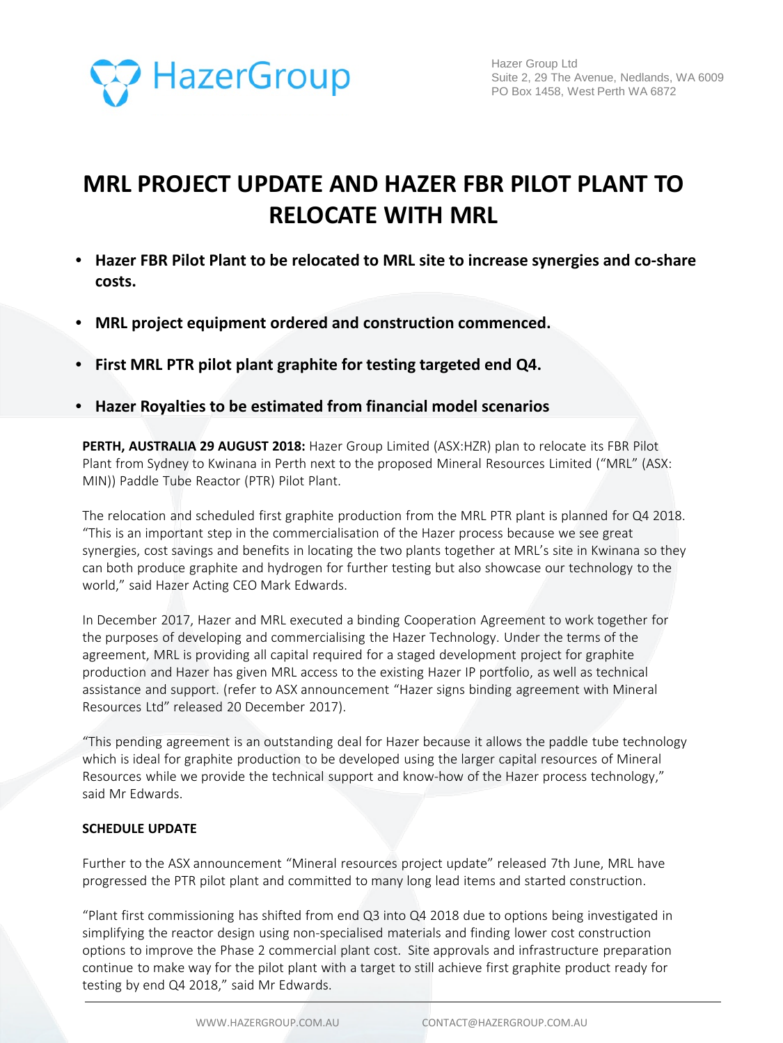

# **MRL PROJECT UPDATE AND HAZER FBR PILOT PLANT TO RELOCATE WITH MRL**

- **Hazer FBR Pilot Plant to be relocated to MRL site to increase synergies and co-share costs.**
- **MRL project equipment ordered and construction commenced.**
- **First MRL PTR pilot plant graphite for testing targeted end Q4.**
- **Hazer Royalties to be estimated from financial model scenarios**

**PERTH, AUSTRALIA 29 AUGUST 2018:** Hazer Group Limited (ASX:HZR) plan to relocate its FBR Pilot Plant from Sydney to Kwinana in Perth next to the proposed Mineral Resources Limited ("MRL" (ASX: MIN)) Paddle Tube Reactor (PTR) Pilot Plant.

The relocation and scheduled first graphite production from the MRL PTR plant is planned for Q4 2018. "This is an important step in the commercialisation of the Hazer process because we see great synergies, cost savings and benefits in locating the two plants together at MRL's site in Kwinana so they can both produce graphite and hydrogen for further testing but also showcase our technology to the world," said Hazer Acting CEO Mark Edwards.

In December 2017, Hazer and MRL executed a binding Cooperation Agreement to work together for the purposes of developing and commercialising the Hazer Technology. Under the terms of the agreement, MRL is providing all capital required for a staged development project for graphite production and Hazer has given MRL access to the existing Hazer IP portfolio, as well as technical assistance and support. (refer to ASX announcement "Hazer signs binding agreement with Mineral Resources Ltd" released 20 December 2017).

"This pending agreement is an outstanding deal for Hazer because it allows the paddle tube technology which is ideal for graphite production to be developed using the larger capital resources of Mineral Resources while we provide the technical support and know-how of the Hazer process technology," said Mr Edwards.

# **SCHEDULE UPDATE**

Further to the ASX announcement "Mineral resources project update" released 7th June, MRL have progressed the PTR pilot plant and committed to many long lead items and started construction.

"Plant first commissioning has shifted from end Q3 into Q4 2018 due to options being investigated in simplifying the reactor design using non-specialised materials and finding lower cost construction options to improve the Phase 2 commercial plant cost. Site approvals and infrastructure preparation continue to make way for the pilot plant with a target to still achieve first graphite product ready for testing by end Q4 2018," said Mr Edwards.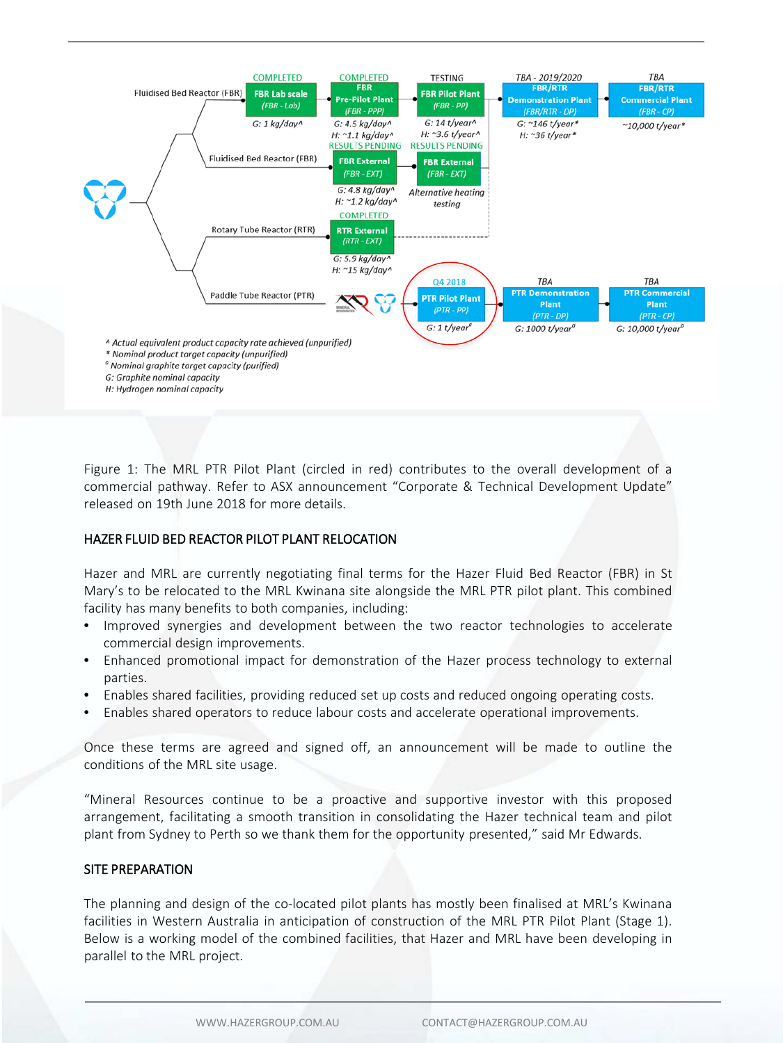

Figure 1: The MRL PTR Pilot Plant (circled in red) contributes to the overall development of a commercial pathway. Refer to ASX announcement "Corporate & Technical Development Update" released on 19th June 2018 for more details.

## HAZER FLUID BED REACTOR PILOT PLANT RELOCATION

Hazer and MRL are currently negotiating final terms for the Hazer Fluid Bed Reactor (FBR) in St Mary's to be relocated to the MRL Kwinana site alongside the MRL PTR pilot plant. This combined facility has many benefits to both companies, including:

- Improved synergies and development between the two reactor technologies to accelerate commercial design improvements.
- Enhanced promotional impact for demonstration of the Hazer process technology to external parties.
- Enables shared facilities, providing reduced set up costs and reduced ongoing operating costs.
- Enables shared operators to reduce labour costs and accelerate operational improvements.

Once these terms are agreed and signed off, an announcement will be made to outline the conditions of the MRL site usage.

"Mineral Resources continue to be a proactive and supportive investor with this proposed arrangement, facilitating a smooth transition in consolidating the Hazer technical team and pilot plant from Sydney to Perth so we thank them for the opportunity presented," said Mr Edwards.

## SITE PREPARATION

The planning and design of the co-located pilot plants has mostly been finalised at MRL's Kwinana facilities in Western Australia in anticipation of construction of the MRL PTR Pilot Plant (Stage 1). Below is a working model of the combined facilities, that Hazer and MRL have been developing in parallel to the MRL project.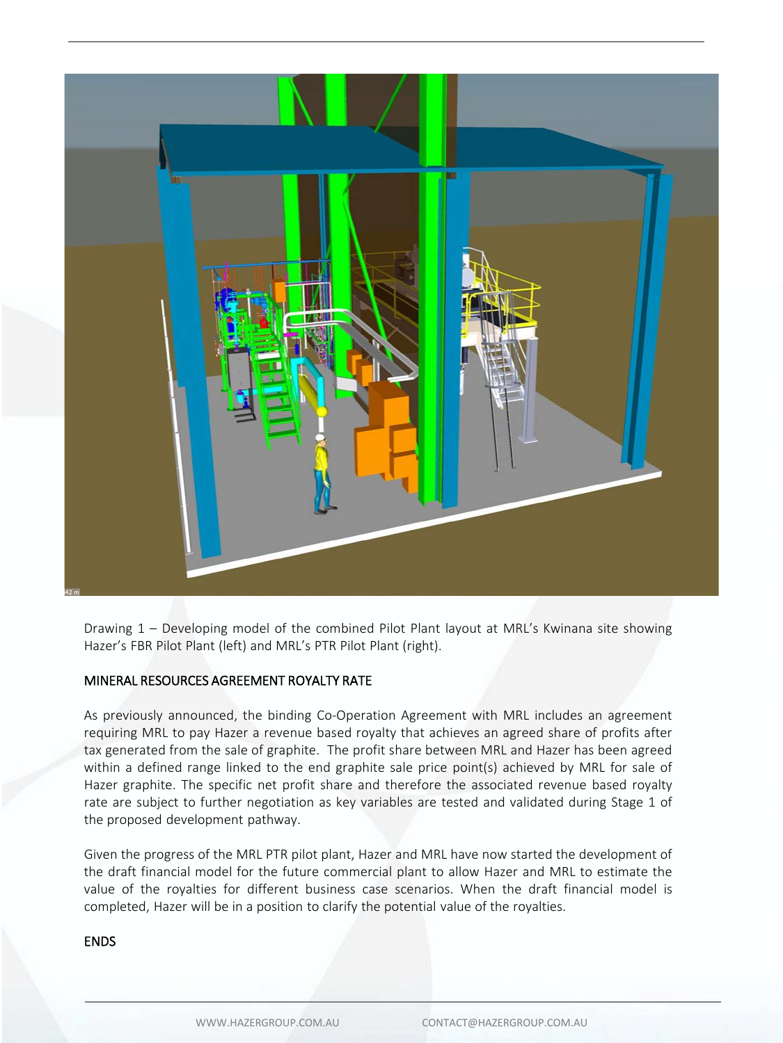

Drawing 1 – Developing model of the combined Pilot Plant layout at MRL's Kwinana site showing Hazer's FBR Pilot Plant (left) and MRL's PTR Pilot Plant (right).

## MINERAL RESOURCES AGREEMENT ROYALTY RATE

As previously announced, the binding Co-Operation Agreement with MRL includes an agreement requiring MRL to pay Hazer a revenue based royalty that achieves an agreed share of profits after tax generated from the sale of graphite. The profit share between MRL and Hazer has been agreed within a defined range linked to the end graphite sale price point(s) achieved by MRL for sale of Hazer graphite. The specific net profit share and therefore the associated revenue based royalty rate are subject to further negotiation as key variables are tested and validated during Stage 1 of the proposed development pathway.

Given the progress of the MRL PTR pilot plant, Hazer and MRL have now started the development of the draft financial model for the future commercial plant to allow Hazer and MRL to estimate the value of the royalties for different business case scenarios. When the draft financial model is completed, Hazer will be in a position to clarify the potential value of the royalties.

#### ENDS